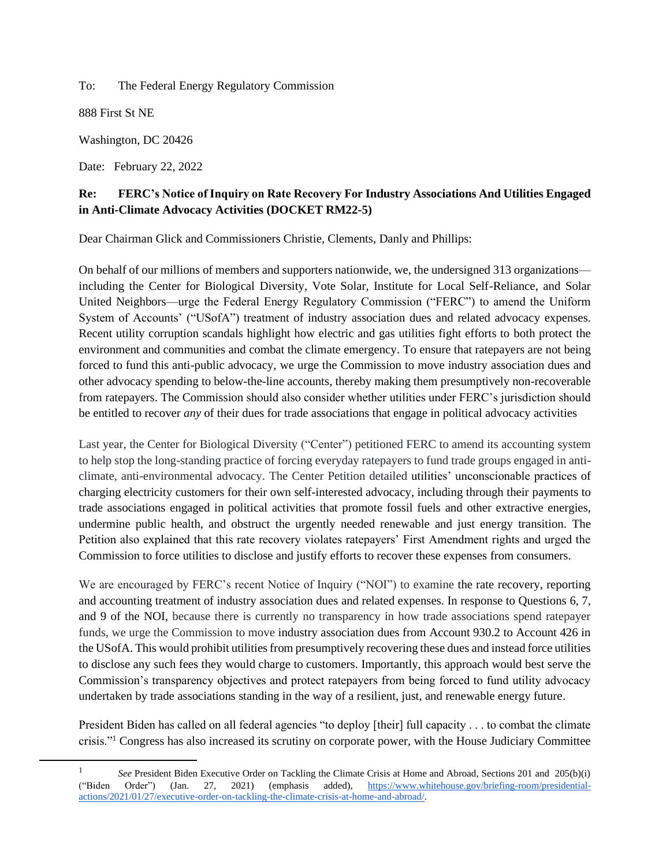To: The Federal Energy Regulatory Commission

888 First St NE

Washington, DC 20426

Date: February 22, 2022

# **Re: FERC's Notice of Inquiry on Rate Recovery For Industry Associations And Utilities Engaged in Anti-Climate Advocacy Activities (DOCKET RM22-5)**

Dear Chairman Glick and Commissioners Christie, Clements, Danly and Phillips:

On behalf of our millions of members and supporters nationwide, we, the undersigned 313 organizations including the Center for Biological Diversity, Vote Solar, Institute for Local Self-Reliance, and Solar United Neighbors—urge the Federal Energy Regulatory Commission ("FERC") to amend the Uniform System of Accounts' ("USofA") treatment of industry association dues and related advocacy expenses. Recent utility corruption scandals highlight how electric and gas utilities fight efforts to both protect the environment and communities and combat the climate emergency. To ensure that ratepayers are not being forced to fund this anti-public advocacy, we urge the Commission to move industry association dues and other advocacy spending to below-the-line accounts, thereby making them presumptively non-recoverable from ratepayers. The Commission should also consider whether utilities under FERC's jurisdiction should be entitled to recover *any* of their dues for trade associations that engage in political advocacy activities

Last year, the Center for Biological Diversity ("Center") petitioned FERC to amend its accounting system to help stop the long-standing practice of forcing everyday ratepayers to fund trade groups engaged in anticlimate, anti-environmental advocacy. The Center Petition detailed utilities' unconscionable practices of charging electricity customers for their own self-interested advocacy, including through their payments to trade associations engaged in political activities that promote fossil fuels and other extractive energies, undermine public health, and obstruct the urgently needed renewable and just energy transition. The Petition also explained that this rate recovery violates ratepayers' First Amendment rights and urged the Commission to force utilities to disclose and justify efforts to recover these expenses from consumers.

We are encouraged by FERC's recent Notice of Inquiry ("NOI") to examine the rate recovery, reporting and accounting treatment of industry association dues and related expenses. In response to Questions 6, 7, and 9 of the NOI, because there is currently no transparency in how trade associations spend ratepayer funds, we urge the Commission to move industry association dues from Account 930.2 to Account 426 in the USofA. This would prohibit utilities from presumptively recovering these dues and instead force utilities to disclose any such fees they would charge to customers. Importantly, this approach would best serve the Commission's transparency objectives and protect ratepayers from being forced to fund utility advocacy undertaken by trade associations standing in the way of a resilient, just, and renewable energy future.

President Biden has called on all federal agencies "to deploy [their] full capacity . . . to combat the climate crisis."<sup>1</sup> Congress has also increased its scrutiny on corporate power, with the House Judiciary Committee

<sup>1</sup> *See* President Biden Executive Order on Tackling the Climate Crisis at Home and Abroad, Sections 201 and 205(b)(i) ("Biden Order") (Jan. 27, 2021) (emphasis added[\),](https://www.whitehouse.gov/briefing-room/presidential-actions/2021/01/27/executive-order-on-tackling-the-climate-crisis-at-home-and-abroad/) [https://www.whitehouse.gov/briefing-room/presidential](https://www.whitehouse.gov/briefing-room/presidential-actions/2021/01/27/executive-order-on-tackling-the-climate-crisis-at-home-and-abroad/)[actions/2021/01/27/executive-order-on-tackling-the-climate-crisis-at-home-and-abroad/.](https://www.whitehouse.gov/briefing-room/presidential-actions/2021/01/27/executive-order-on-tackling-the-climate-crisis-at-home-and-abroad/)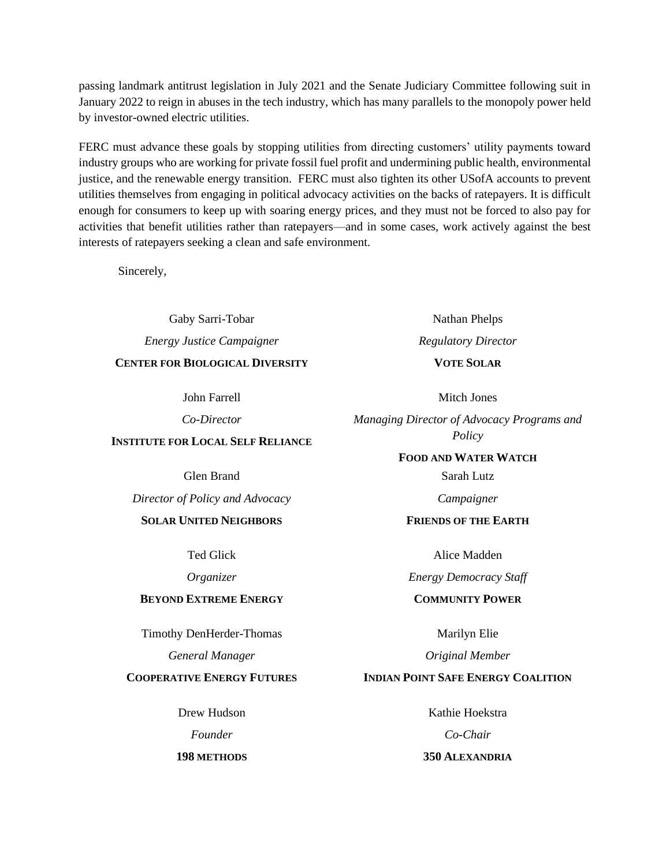passing landmark antitrust legislation in July 2021 and the Senate Judiciary Committee following suit in January 2022 to reign in abuses in the tech industry, which has many parallels to the monopoly power held by investor-owned electric utilities.

FERC must advance these goals by stopping utilities from directing customers' utility payments toward industry groups who are working for private fossil fuel profit and undermining public health, environmental justice, and the renewable energy transition. FERC must also tighten its other USofA accounts to prevent utilities themselves from engaging in political advocacy activities on the backs of ratepayers. It is difficult enough for consumers to keep up with soaring energy prices, and they must not be forced to also pay for activities that benefit utilities rather than ratepayers—and in some cases, work actively against the best interests of ratepayers seeking a clean and safe environment.

Sincerely,

Gaby Sarri-Tobar *Energy Justice Campaigner* **CENTER FOR BIOLOGICAL DIVERSITY**

John Farrell

*Co-Director*

#### **INSTITUTE FOR LOCAL SELF RELIANCE**

Glen Brand

*Director of Policy and Advocacy*

#### **SOLAR UNITED NEIGHBORS**

Ted Glick

*Organizer*

#### **BEYOND EXTREME ENERGY**

Timothy DenHerder-Thomas

*General Manager*

#### **COOPERATIVE ENERGY FUTURES**

Drew Hudson *Founder*

**198 METHODS**

Nathan Phelps *Regulatory Director* **VOTE SOLAR**

Mitch Jones

*Managing Director of Advocacy Programs and Policy*

**FOOD AND WATER WATCH**

Sarah Lutz

*Campaigner*

### **FRIENDS OF THE EARTH**

Alice Madden

*Energy Democracy Staff*

# **COMMUNITY POWER**

Marilyn Elie

*Original Member*

### **INDIAN POINT SAFE ENERGY COALITION**

Kathie Hoekstra *Co-Chair* **350 ALEXANDRIA**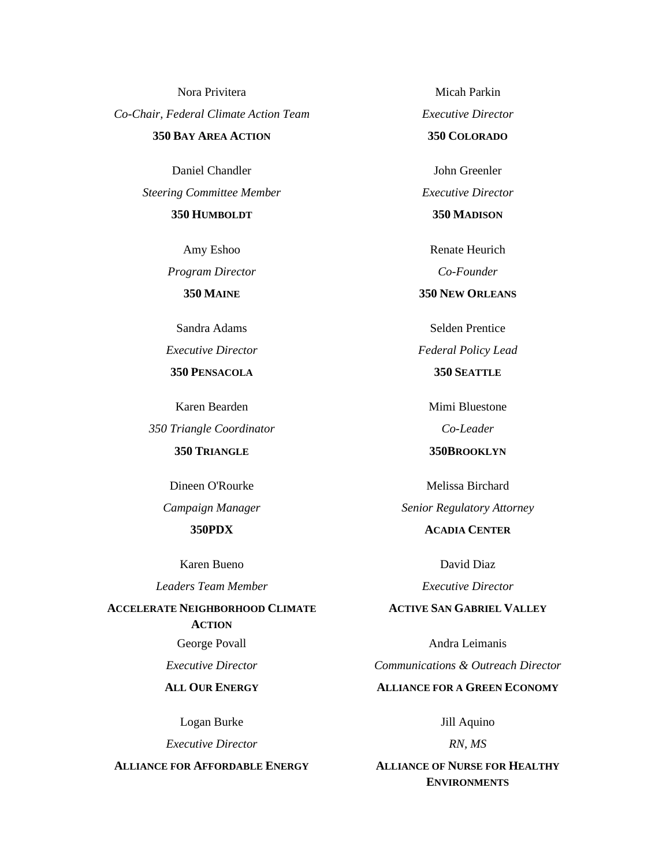Nora Privitera *Co-Chair, Federal Climate Action Team* **350 BAY AREA ACTION**

> Daniel Chandler *Steering Committee Member*

> > **350 HUMBOLDT**

Amy Eshoo *Program Director* **350 MAINE**

Sandra Adams

*Executive Director*

**350 PENSACOLA**

Karen Bearden

*350 Triangle Coordinator* **350 TRIANGLE**

Dineen O'Rourke *Campaign Manager*

**350PDX**

Karen Bueno

*Leaders Team Member*

**ACCELERATE NEIGHBORHOOD CLIMATE ACTION**

George Povall

*Executive Director*

## **ALL OUR ENERGY**

Logan Burke

*Executive Director*

**ALLIANCE FOR AFFORDABLE ENERGY**

Micah Parkin *Executive Director* **350 COLORADO**

John Greenler *Executive Director* **350 MADISON**

Renate Heurich *Co-Founder*

**350 NEW ORLEANS**

Selden Prentice *Federal Policy Lead* **350 SEATTLE**

Mimi Bluestone *Co-Leader*

**350BROOKLYN**

Melissa Birchard *Senior Regulatory Attorney*

**ACADIA CENTER**

David Diaz *Executive Director*

### **ACTIVE SAN GABRIEL VALLEY**

Andra Leimanis *Communications & Outreach Director* **ALLIANCE FOR A GREEN ECONOMY**

Jill Aquino

*RN, MS*

**ALLIANCE OF NURSE FOR HEALTHY ENVIRONMENTS**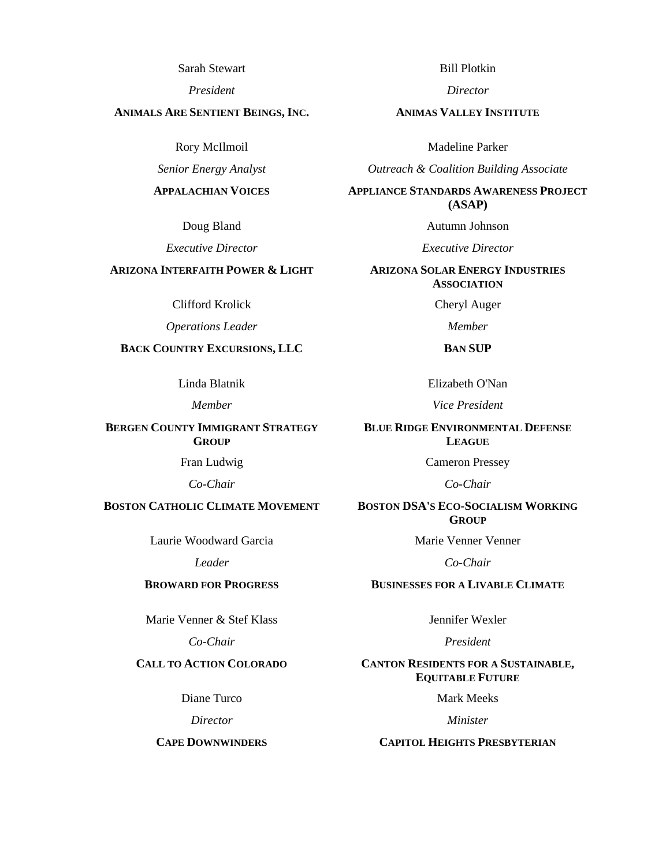Sarah Stewart

*President*

#### **ANIMALS ARE SENTIENT BEINGS, INC.**

Rory McIlmoil

*Senior Energy Analyst*

#### **APPALACHIAN VOICES**

Doug Bland

*Executive Director*

## **ARIZONA INTERFAITH POWER & LIGHT**

Clifford Krolick

*Operations Leader*

## **BACK COUNTRY EXCURSIONS, LLC**

Linda Blatnik

*Member*

**BERGEN COUNTY IMMIGRANT STRATEGY GROUP**

Fran Ludwig

*Co-Chair*

## **BOSTON CATHOLIC CLIMATE MOVEMENT**

Laurie Woodward Garcia

*Leader*

#### **BROWARD FOR PROGRESS**

Marie Venner & Stef Klass

*Co-Chair*

## **CALL TO ACTION COLORADO**

Diane Turco

*Director*

#### **CAPE DOWNWINDERS**

Bill Plotkin

*Director*

#### **ANIMAS VALLEY INSTITUTE**

Madeline Parker

*Outreach & Coalition Building Associate*

**APPLIANCE STANDARDS AWARENESS PROJECT (ASAP)**

Autumn Johnson

*Executive Director*

#### **ARIZONA SOLAR ENERGY INDUSTRIES ASSOCIATION**

Cheryl Auger

*Member*

**BAN SUP**

Elizabeth O'Nan

*Vice President*

**BLUE RIDGE ENVIRONMENTAL DEFENSE LEAGUE**

Cameron Pressey

*Co-Chair*

### **BOSTON DSA'S ECO-SOCIALISM WORKING GROUP**

Marie Venner Venner

*Co-Chair*

### **BUSINESSES FOR A LIVABLE CLIMATE**

Jennifer Wexler

*President*

#### **CANTON RESIDENTS FOR A SUSTAINABLE, EQUITABLE FUTURE**

Mark Meeks

*Minister*

#### **CAPITOL HEIGHTS PRESBYTERIAN**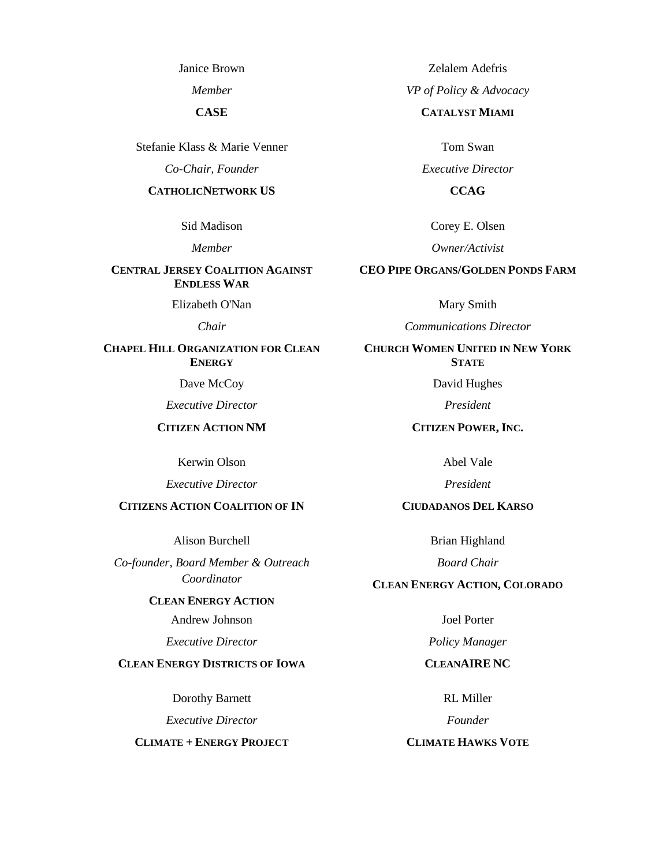Janice Brown

*Member*

**CASE**

Stefanie Klass & Marie Venner

*Co-Chair, Founder*

#### **CATHOLICNETWORK US**

Sid Madison

*Member*

#### **CENTRAL JERSEY COALITION AGAINST ENDLESS WAR**

Elizabeth O'Nan

*Chair*

## **CHAPEL HILL ORGANIZATION FOR CLEAN ENERGY**

Dave McCoy

*Executive Director*

**CITIZEN ACTION NM**

Kerwin Olson

*Executive Director*

### **CITIZENS ACTION COALITION OF IN**

Alison Burchell

*Co-founder, Board Member & Outreach Coordinator*

#### **CLEAN ENERGY ACTION**

Andrew Johnson

*Executive Director*

### **CLEAN ENERGY DISTRICTS OF IOWA**

Dorothy Barnett

*Executive Director*

**CLIMATE + ENERGY PROJECT**

Zelalem Adefris

*VP of Policy & Advocacy*

### **CATALYST MIAMI**

Tom Swan

*Executive Director*

**CCAG**

Corey E. Olsen

*Owner/Activist*

#### **CEO PIPE ORGANS/GOLDEN PONDS FARM**

Mary Smith

*Communications Director*

**CHURCH WOMEN UNITED IN NEW YORK STATE**

David Hughes

*President*

**CITIZEN POWER, INC.**

Abel Vale

*President*

## **CIUDADANOS DEL KARSO**

Brian Highland

*Board Chair*

### **CLEAN ENERGY ACTION, COLORADO**

Joel Porter

*Policy Manager*

#### **CLEANAIRE NC**

RL Miller

*Founder*

### **CLIMATE HAWKS VOTE**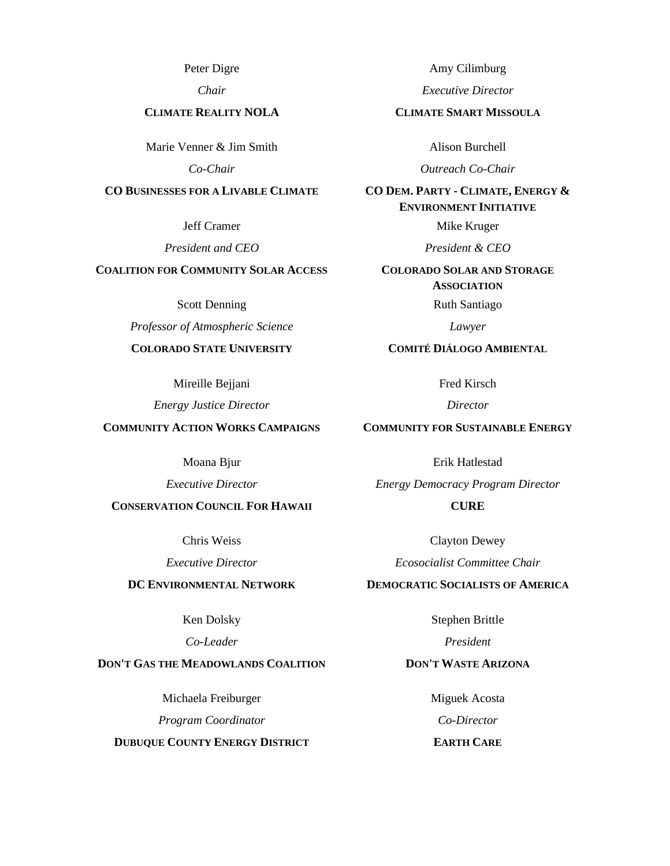Peter Digre

*Chair*

#### **CLIMATE REALITY NOLA**

Marie Venner & Jim Smith

*Co-Chair*

### **CO BUSINESSES FOR A LIVABLE CLIMATE**

Jeff Cramer

*President and CEO*

## **COALITION FOR COMMUNITY SOLAR ACCESS**

Scott Denning

*Professor of Atmospheric Science*

## **COLORADO STATE UNIVERSITY**

Mireille Bejjani

*Energy Justice Director*

#### **COMMUNITY ACTION WORKS CAMPAIGNS**

Moana Bjur

*Executive Director*

## **CONSERVATION COUNCIL FOR HAWAII**

Chris Weiss

*Executive Director*

### **DC ENVIRONMENTAL NETWORK**

Ken Dolsky

*Co-Leader*

### **DON'T GAS THE MEADOWLANDS COALITION**

Michaela Freiburger

*Program Coordinator*

**DUBUQUE COUNTY ENERGY DISTRICT**

Amy Cilimburg

*Executive Director*

#### **CLIMATE SMART MISSOULA**

Alison Burchell

*Outreach Co-Chair*

**CO DEM. PARTY - CLIMATE, ENERGY & ENVIRONMENT INITIATIVE**

Mike Kruger

*President & CEO*

**COLORADO SOLAR AND STORAGE ASSOCIATION**

Ruth Santiago

*Lawyer*

#### **COMITÉ DIÁLOGO AMBIENTAL**

Fred Kirsch

*Director*

### **COMMUNITY FOR SUSTAINABLE ENERGY**

Erik Hatlestad *Energy Democracy Program Director*

# **CURE**

Clayton Dewey *Ecosocialist Committee Chair*

### **DEMOCRATIC SOCIALISTS OF AMERICA**

Stephen Brittle

*President*

## **DON'T WASTE ARIZONA**

Miguek Acosta *Co-Director*

## **EARTH CARE**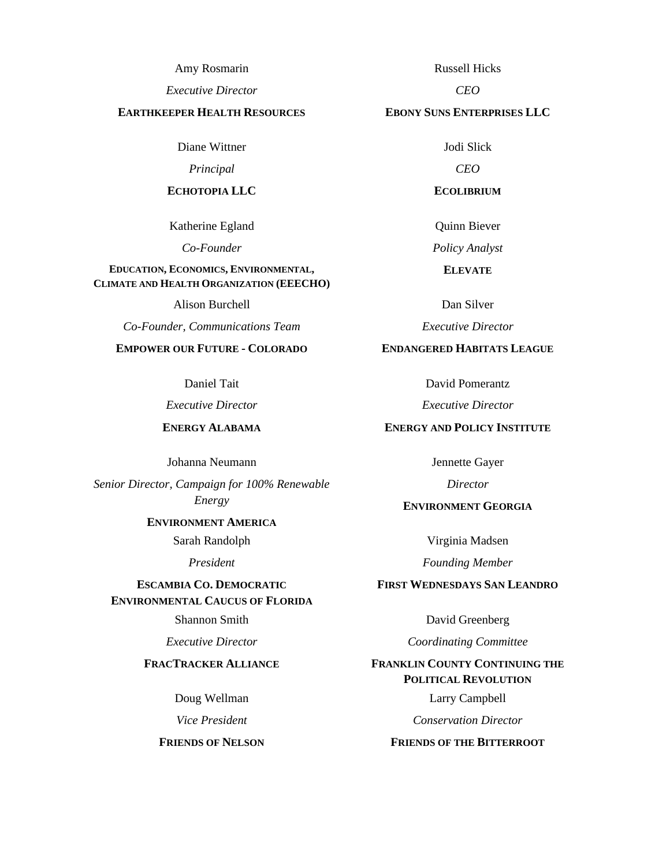Amy Rosmarin

*Executive Director*

#### **EARTHKEEPER HEALTH RESOURCES**

Diane Wittner

*Principal*

#### **ECHOTOPIA LLC**

Katherine Egland

*Co-Founder*

#### **EDUCATION, ECONOMICS, ENVIRONMENTAL, CLIMATE AND HEALTH ORGANIZATION (EEECHO)**

Alison Burchell

*Co-Founder, Communications Team*

# **EMPOWER OUR FUTURE - COLORADO**

Daniel Tait

*Executive Director*

# **ENERGY ALABAMA**

Johanna Neumann

*Senior Director, Campaign for 100% Renewable Energy*

#### **ENVIRONMENT AMERICA**

Sarah Randolph

*President*

## **ESCAMBIA CO. DEMOCRATIC ENVIRONMENTAL CAUCUS OF FLORIDA**

Shannon Smith

*Executive Director*

## **FRACTRACKER ALLIANCE**

Doug Wellman

*Vice President*

**FRIENDS OF NELSON**

Russell Hicks

*CEO*

#### **EBONY SUNS ENTERPRISES LLC**

Jodi Slick

*CEO*

**ECOLIBRIUM**

Quinn Biever

*Policy Analyst*

**ELEVATE**

Dan Silver

*Executive Director*

## **ENDANGERED HABITATS LEAGUE**

David Pomerantz

*Executive Director*

## **ENERGY AND POLICY INSTITUTE**

Jennette Gayer

*Director*

## **ENVIRONMENT GEORGIA**

Virginia Madsen

*Founding Member*

## **FIRST WEDNESDAYS SAN LEANDRO**

David Greenberg

*Coordinating Committee*

# **FRANKLIN COUNTY CONTINUING THE POLITICAL REVOLUTION**

Larry Campbell

*Conservation Director*

#### **FRIENDS OF THE BITTERROOT**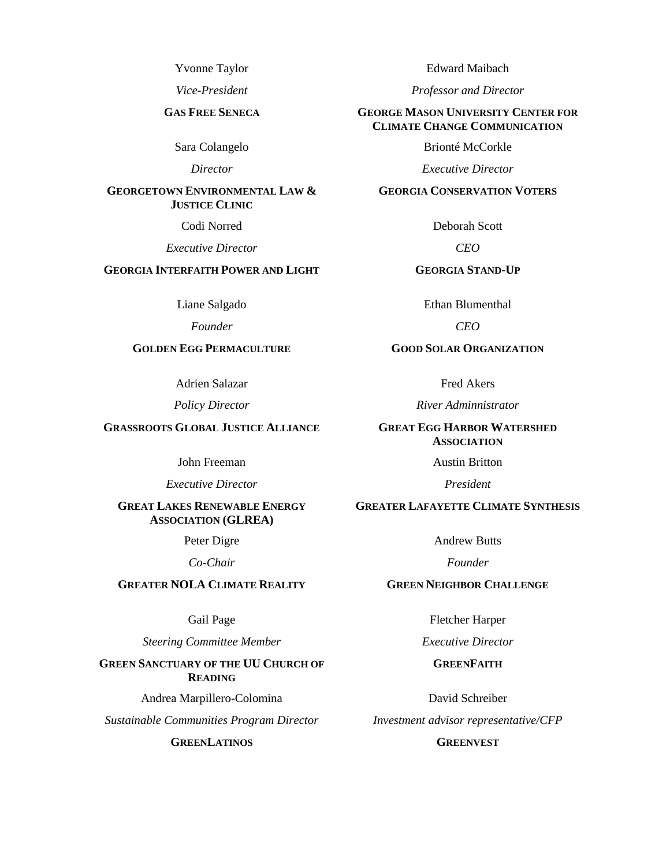Yvonne Taylor

*Vice-President*

#### **GAS FREE SENECA**

Sara Colangelo

*Director*

#### **GEORGETOWN ENVIRONMENTAL LAW & JUSTICE CLINIC**

Codi Norred

*Executive Director*

## **GEORGIA INTERFAITH POWER AND LIGHT**

Liane Salgado

*Founder*

## **GOLDEN EGG PERMACULTURE**

Adrien Salazar

*Policy Director*

### **GRASSROOTS GLOBAL JUSTICE ALLIANCE**

John Freeman

*Executive Director*

### **GREAT LAKES RENEWABLE ENERGY ASSOCIATION (GLREA)**

Peter Digre

*Co-Chair*

## **GREATER NOLA CLIMATE REALITY**

Gail Page

*Steering Committee Member*

**GREEN SANCTUARY OF THE UU CHURCH OF READING**

Andrea Marpillero-Colomina

*Sustainable Communities Program Director*

**GREENLATINOS**

Edward Maibach

*Professor and Director*

#### **GEORGE MASON UNIVERSITY CENTER FOR CLIMATE CHANGE COMMUNICATION**

Brionté McCorkle

*Executive Director*

#### **GEORGIA CONSERVATION VOTERS**

Deborah Scott

*CEO*

### **GEORGIA STAND-UP**

Ethan Blumenthal

*CEO*

#### **GOOD SOLAR ORGANIZATION**

Fred Akers

*River Adminnistrator*

#### **GREAT EGG HARBOR WATERSHED ASSOCIATION**

Austin Britton

*President*

### **GREATER LAFAYETTE CLIMATE SYNTHESIS**

Andrew Butts

*Founder*

#### **GREEN NEIGHBOR CHALLENGE**

Fletcher Harper

*Executive Director*

### **GREENFAITH**

David Schreiber *Investment advisor representative/CFP*

### **GREENVEST**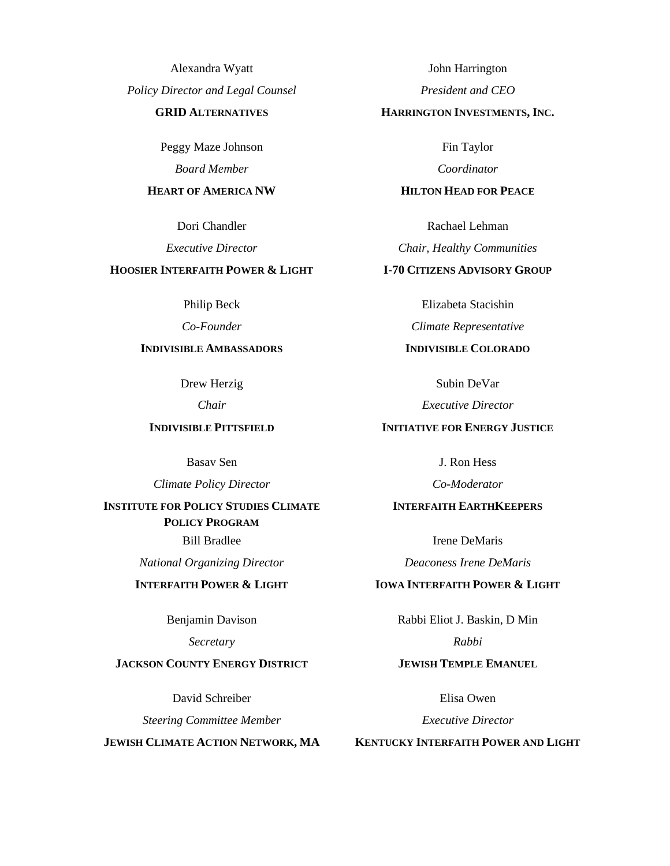Alexandra Wyatt *Policy Director and Legal Counsel*

## **GRID ALTERNATIVES**

Peggy Maze Johnson *Board Member*

#### **HEART OF AMERICA NW**

Dori Chandler

*Executive Director*

## **HOOSIER INTERFAITH POWER & LIGHT**

Philip Beck

*Co-Founder*

## **INDIVISIBLE AMBASSADORS**

Drew Herzig

*Chair*

## **INDIVISIBLE PITTSFIELD**

Basav Sen

*Climate Policy Director*

# **INSTITUTE FOR POLICY STUDIES CLIMATE POLICY PROGRAM**

Bill Bradlee

*National Organizing Director*

### **INTERFAITH POWER & LIGHT**

Benjamin Davison

*Secretary*

# **JACKSON COUNTY ENERGY DISTRICT**

David Schreiber

*Steering Committee Member*

**JEWISH CLIMATE ACTION NETWORK, MA**

John Harrington

*President and CEO*

#### **HARRINGTON INVESTMENTS, INC.**

Fin Taylor

*Coordinator*

#### **HILTON HEAD FOR PEACE**

Rachael Lehman

*Chair, Healthy Communities*

## **I-70 CITIZENS ADVISORY GROUP**

Elizabeta Stacishin

*Climate Representative*

### **INDIVISIBLE COLORADO**

Subin DeVar

*Executive Director*

## **INITIATIVE FOR ENERGY JUSTICE**

J. Ron Hess

*Co-Moderator*

### **INTERFAITH EARTHKEEPERS**

Irene DeMaris *Deaconess Irene DeMaris*

#### **IOWA INTERFAITH POWER & LIGHT**

Rabbi Eliot J. Baskin, D Min *Rabbi*

## **JEWISH TEMPLE EMANUEL**

Elisa Owen

*Executive Director*

#### **KENTUCKY INTERFAITH POWER AND LIGHT**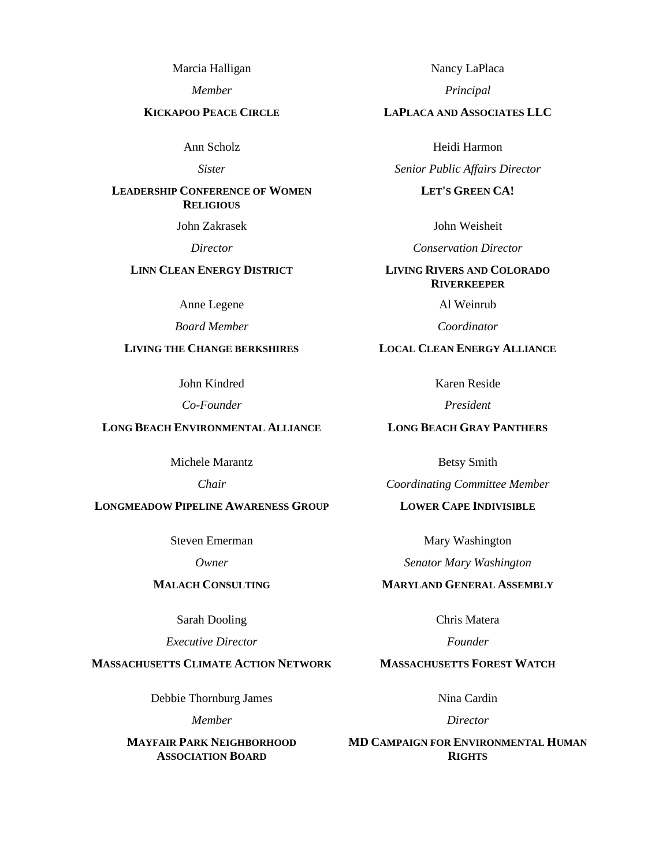Marcia Halligan

*Member*

#### **KICKAPOO PEACE CIRCLE**

Ann Scholz

*Sister*

## **LEADERSHIP CONFERENCE OF WOMEN RELIGIOUS**

John Zakrasek

*Director*

# **LINN CLEAN ENERGY DISTRICT**

Anne Legene

*Board Member*

## **LIVING THE CHANGE BERKSHIRES**

John Kindred

*Co-Founder*

## **LONG BEACH ENVIRONMENTAL ALLIANCE**

Michele Marantz

*Chair*

## **LONGMEADOW PIPELINE AWARENESS GROUP**

Steven Emerman

*Owner*

# **MALACH CONSULTING**

Sarah Dooling

*Executive Director*

## **MASSACHUSETTS CLIMATE ACTION NETWORK**

Debbie Thornburg James

*Member*

**MAYFAIR PARK NEIGHBORHOOD ASSOCIATION BOARD**

Nancy LaPlaca

*Principal*

### **LAPLACA AND ASSOCIATES LLC**

Heidi Harmon

*Senior Public Affairs Director*

#### **LET'S GREEN CA!**

John Weisheit

*Conservation Director*

### **LIVING RIVERS AND COLORADO RIVERKEEPER**

Al Weinrub

*Coordinator*

## **LOCAL CLEAN ENERGY ALLIANCE**

Karen Reside

*President*

## **LONG BEACH GRAY PANTHERS**

Betsy Smith

*Coordinating Committee Member*

## **LOWER CAPE INDIVISIBLE**

Mary Washington

*Senator Mary Washington*

## **MARYLAND GENERAL ASSEMBLY**

Chris Matera

*Founder*

## **MASSACHUSETTS FOREST WATCH**

Nina Cardin

*Director*

**MD CAMPAIGN FOR ENVIRONMENTAL HUMAN RIGHTS**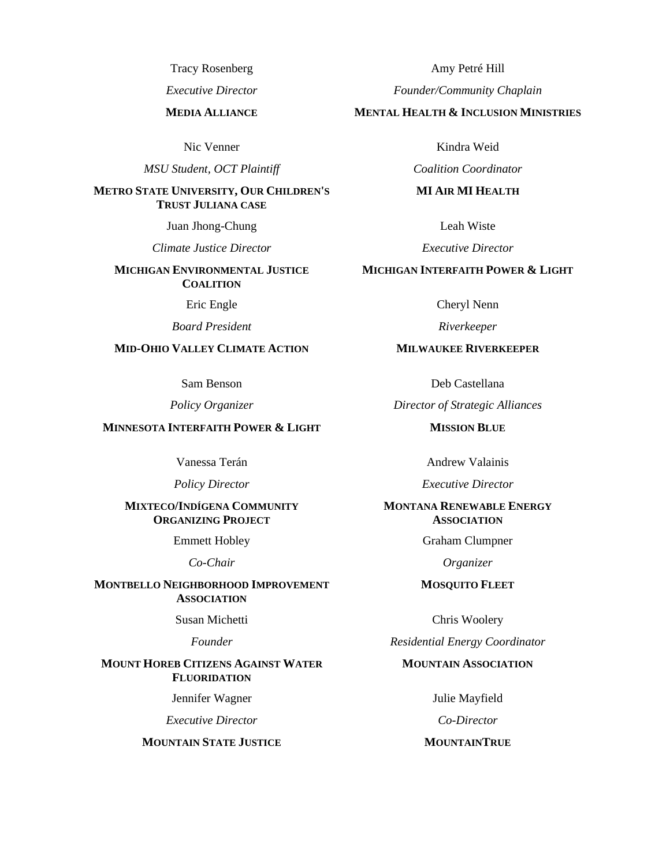Tracy Rosenberg

*Executive Director*

#### **MEDIA ALLIANCE**

Nic Venner

*MSU Student, OCT Plaintiff*

#### **METRO STATE UNIVERSITY, OUR CHILDREN'S TRUST JULIANA CASE**

Juan Jhong-Chung

*Climate Justice Director*

## **MICHIGAN ENVIRONMENTAL JUSTICE COALITION**

Eric Engle

*Board President*

## **MID-OHIO VALLEY CLIMATE ACTION**

Sam Benson

*Policy Organizer*

#### **MINNESOTA INTERFAITH POWER & LIGHT**

Vanessa Terán

*Policy Director*

### **MIXTECO/INDÍGENA COMMUNITY ORGANIZING PROJECT**

Emmett Hobley

*Co-Chair*

### **MONTBELLO NEIGHBORHOOD IMPROVEMENT ASSOCIATION**

Susan Michetti

*Founder*

#### **MOUNT HOREB CITIZENS AGAINST WATER FLUORIDATION**

Jennifer Wagner

*Executive Director*

#### **MOUNTAIN STATE JUSTICE**

Amy Petré Hill

*Founder/Community Chaplain*

#### **MENTAL HEALTH & INCLUSION MINISTRIES**

Kindra Weid

*Coalition Coordinator*

#### **MI AIR MI HEALTH**

Leah Wiste

*Executive Director*

## **MICHIGAN INTERFAITH POWER & LIGHT**

Cheryl Nenn

*Riverkeeper*

### **MILWAUKEE RIVERKEEPER**

Deb Castellana

*Director of Strategic Alliances*

**MISSION BLUE**

Andrew Valainis

*Executive Director*

### **MONTANA RENEWABLE ENERGY ASSOCIATION**

Graham Clumpner

*Organizer*

#### **MOSQUITO FLEET**

Chris Woolery

*Residential Energy Coordinator*

#### **MOUNTAIN ASSOCIATION**

Julie Mayfield

*Co-Director*

## **MOUNTAINTRUE**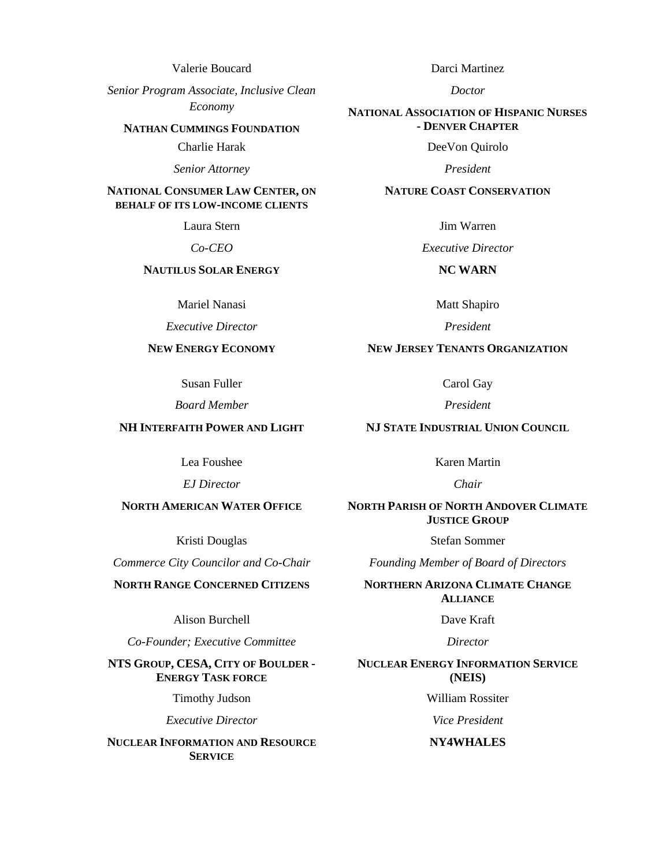Valerie Boucard

*Senior Program Associate, Inclusive Clean Economy*

#### **NATHAN CUMMINGS FOUNDATION**

Charlie Harak

*Senior Attorney*

#### **NATIONAL CONSUMER LAW CENTER, ON BEHALF OF ITS LOW-INCOME CLIENTS**

Laura Stern

*Co-CEO*

### **NAUTILUS SOLAR ENERGY**

Mariel Nanasi

*Executive Director*

### **NEW ENERGY ECONOMY**

Susan Fuller

*Board Member*

#### **NH INTERFAITH POWER AND LIGHT**

Lea Foushee

*EJ Director*

### **NORTH AMERICAN WATER OFFICE**

Kristi Douglas

*Commerce City Councilor and Co-Chair*

## **NORTH RANGE CONCERNED CITIZENS**

Alison Burchell

*Co-Founder; Executive Committee*

#### **NTS GROUP, CESA, CITY OF BOULDER - ENERGY TASK FORCE**

Timothy Judson

*Executive Director*

**NUCLEAR INFORMATION AND RESOURCE SERVICE**

Darci Martinez

*Doctor*

#### **NATIONAL ASSOCIATION OF HISPANIC NURSES - DENVER CHAPTER**

DeeVon Quirolo

*President*

#### **NATURE COAST CONSERVATION**

Jim Warren

*Executive Director*

## **NC WARN**

Matt Shapiro

*President*

### **NEW JERSEY TENANTS ORGANIZATION**

Carol Gay

*President*

### **NJ STATE INDUSTRIAL UNION COUNCIL**

Karen Martin

*Chair*

## **NORTH PARISH OF NORTH ANDOVER CLIMATE JUSTICE GROUP**

Stefan Sommer

*Founding Member of Board of Directors*

**NORTHERN ARIZONA CLIMATE CHANGE ALLIANCE**

Dave Kraft

*Director*

#### **NUCLEAR ENERGY INFORMATION SERVICE (NEIS)**

William Rossiter

*Vice President*

#### **NY4WHALES**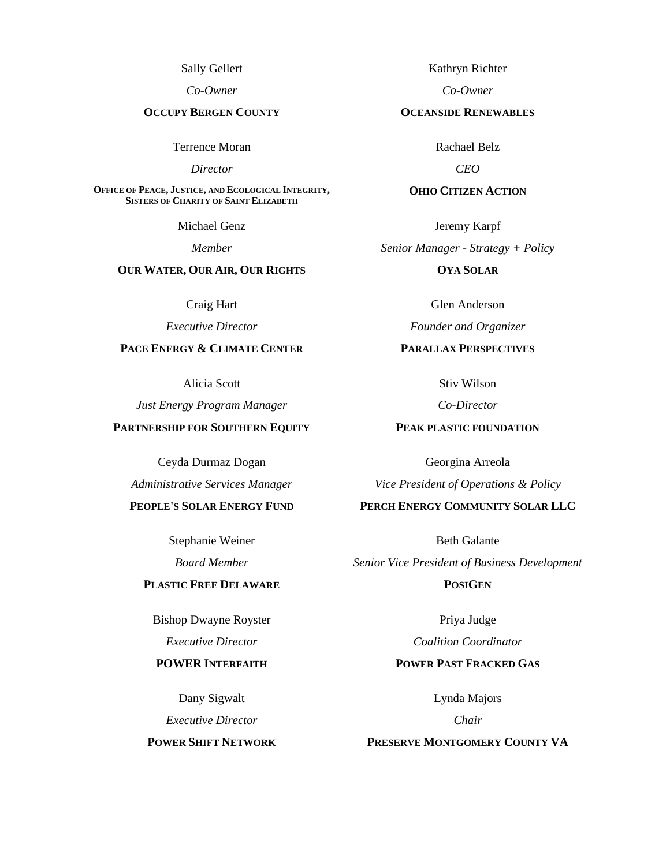Sally Gellert

*Co-Owner*

### **OCCUPY BERGEN COUNTY**

Terrence Moran

*Director*

**OFFICE OF PEACE, JUSTICE, AND ECOLOGICAL INTEGRITY, SISTERS OF CHARITY OF SAINT ELIZABETH**

Michael Genz

*Member*

## **OUR WATER, OUR AIR, OUR RIGHTS**

Craig Hart

*Executive Director*

## **PACE ENERGY & CLIMATE CENTER**

Alicia Scott

*Just Energy Program Manager*

### **PARTNERSHIP FOR SOUTHERN EQUITY**

Ceyda Durmaz Dogan

*Administrative Services Manager*

## **PEOPLE'S SOLAR ENERGY FUND**

Stephanie Weiner *Board Member*

## **PLASTIC FREE DELAWARE**

Bishop Dwayne Royster *Executive Director*

## **POWER INTERFAITH**

Dany Sigwalt *Executive Director*

**POWER SHIFT NETWORK**

Kathryn Richter

*Co-Owner*

#### **OCEANSIDE RENEWABLES**

Rachael Belz

*CEO*

#### **OHIO CITIZEN ACTION**

Jeremy Karpf *Senior Manager - Strategy + Policy*

**OYA SOLAR**

Glen Anderson

*Founder and Organizer*

## **PARALLAX PERSPECTIVES**

Stiv Wilson

*Co-Director*

## **PEAK PLASTIC FOUNDATION**

Georgina Arreola *Vice President of Operations & Policy*

**PERCH ENERGY COMMUNITY SOLAR LLC**

Beth Galante *Senior Vice President of Business Development*

**POSIGEN**

Priya Judge *Coalition Coordinator*

# **POWER PAST FRACKED GAS**

Lynda Majors

*Chair*

#### **PRESERVE MONTGOMERY COUNTY VA**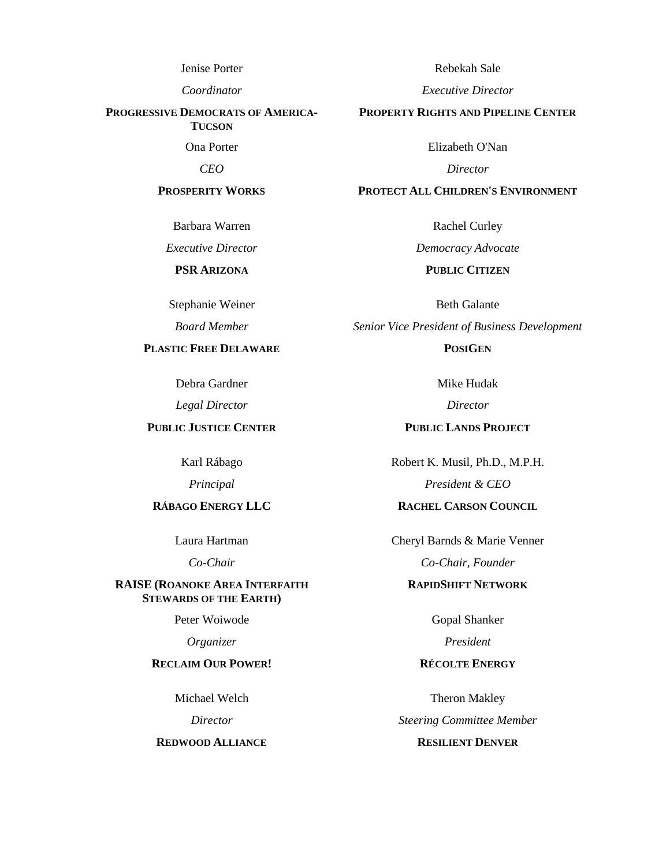Jenise Porter

*Coordinator*

#### **PROGRESSIVE DEMOCRATS OF AMERICA-TUCSON**

Ona Porter

*CEO*

#### **PROSPERITY WORKS**

Barbara Warren

*Executive Director*

## **PSR ARIZONA**

Stephanie Weiner

*Board Member*

## **PLASTIC FREE DELAWARE**

Debra Gardner

*Legal Director*

### **PUBLIC JUSTICE CENTER**

Karl Rábago

*Principal*

## **RÁBAGO ENERGY LLC**

Laura Hartman

*Co-Chair*

### **RAISE (ROANOKE AREA INTERFAITH STEWARDS OF THE EARTH)**

Peter Woiwode

*Organizer*

### **RECLAIM OUR POWER!**

Michael Welch

*Director*

#### **REDWOOD ALLIANCE**

Rebekah Sale

*Executive Director*

#### **PROPERTY RIGHTS AND PIPELINE CENTER**

Elizabeth O'Nan

*Director*

#### **PROTECT ALL CHILDREN'S ENVIRONMENT**

Rachel Curley

*Democracy Advocate*

### **PUBLIC CITIZEN**

Beth Galante *Senior Vice President of Business Development*

**POSIGEN**

Mike Hudak

*Director*

### **PUBLIC LANDS PROJECT**

Robert K. Musil, Ph.D., M.P.H. *President & CEO*

# **RACHEL CARSON COUNCIL**

Cheryl Barnds & Marie Venner *Co-Chair, Founder*

# **RAPIDSHIFT NETWORK**

Gopal Shanker

*President*

# **RÉCOLTE ENERGY**

Theron Makley *Steering Committee Member*

# **RESILIENT DENVER**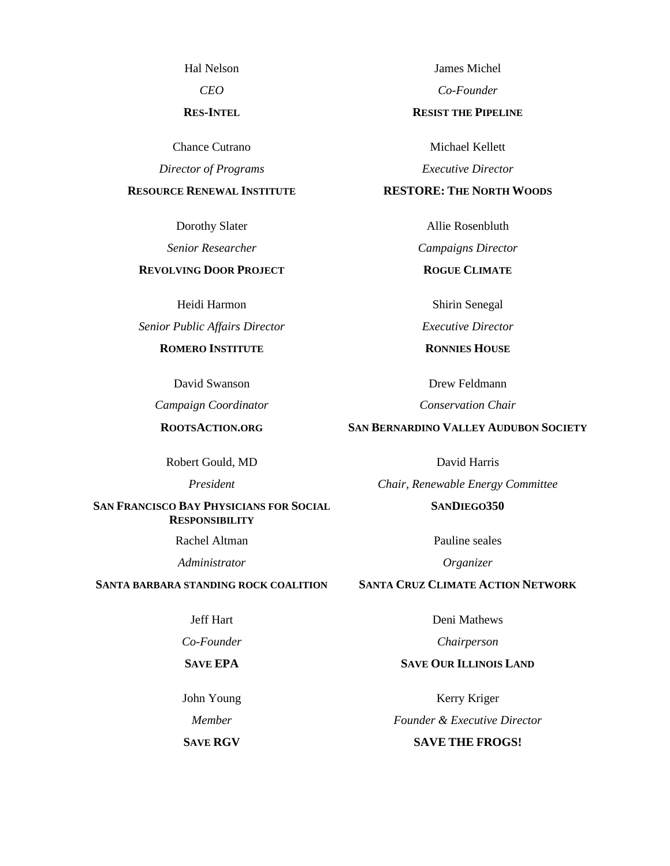Hal Nelson

*CEO*

#### **RES-INTEL**

Chance Cutrano

*Director of Programs*

#### **RESOURCE RENEWAL INSTITUTE**

Dorothy Slater

*Senior Researcher*

### **REVOLVING DOOR PROJECT**

Heidi Harmon

*Senior Public Affairs Director*

## **ROMERO INSTITUTE**

David Swanson

*Campaign Coordinator*

## **ROOTSACTION.ORG**

Robert Gould, MD

*President*

### **SAN FRANCISCO BAY PHYSICIANS FOR SOCIAL RESPONSIBILITY**

Rachel Altman

*Administrator*

### **SANTA BARBARA STANDING ROCK COALITION**

### Jeff Hart

*Co-Founder*

#### **SAVE EPA**

John Young

*Member*

**SAVE RGV**

James Michel

*Co-Founder*

#### **RESIST THE PIPELINE**

Michael Kellett *Executive Director*

### **RESTORE: THE NORTH WOODS**

Allie Rosenbluth

*Campaigns Director*

**ROGUE CLIMATE**

Shirin Senegal

*Executive Director*

**RONNIES HOUSE**

Drew Feldmann

*Conservation Chair*

## **SAN BERNARDINO VALLEY AUDUBON SOCIETY**

David Harris

*Chair, Renewable Energy Committee* **SANDIEGO350**

Pauline seales

*Organizer*

## **SANTA CRUZ CLIMATE ACTION NETWORK**

Deni Mathews

*Chairperson*

## **SAVE OUR ILLINOIS LAND**

Kerry Kriger *Founder & Executive Director*

# **SAVE THE FROGS!**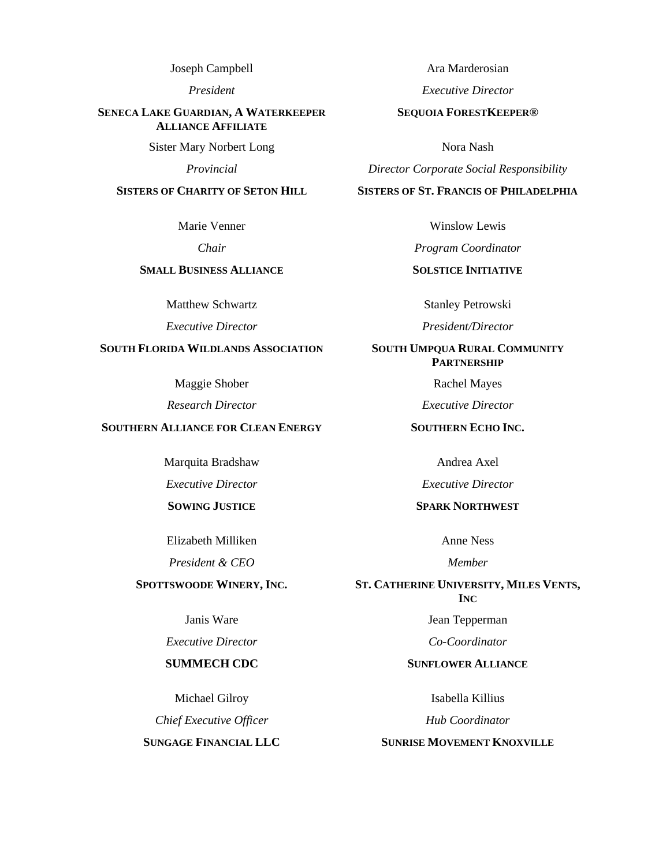Joseph Campbell

*President*

#### **SENECA LAKE GUARDIAN, A WATERKEEPER ALLIANCE AFFILIATE**

Sister Mary Norbert Long

*Provincial*

#### **SISTERS OF CHARITY OF SETON HILL**

Marie Venner

*Chair*

## **SMALL BUSINESS ALLIANCE**

Matthew Schwartz

*Executive Director*

# **SOUTH FLORIDA WILDLANDS ASSOCIATION**

Maggie Shober

*Research Director*

### **SOUTHERN ALLIANCE FOR CLEAN ENERGY**

Marquita Bradshaw

*Executive Director*

### **SOWING JUSTICE**

Elizabeth Milliken

*President & CEO*

#### **SPOTTSWOODE WINERY, INC.**

Janis Ware

*Executive Director*

### **SUMMECH CDC**

Michael Gilroy

*Chief Executive Officer*

**SUNGAGE FINANCIAL LLC**

Ara Marderosian

*Executive Director*

#### **SEQUOIA FORESTKEEPER®**

Nora Nash

*Director Corporate Social Responsibility*

#### **SISTERS OF ST. FRANCIS OF PHILADELPHIA**

Winslow Lewis

*Program Coordinator*

## **SOLSTICE INITIATIVE**

Stanley Petrowski

*President/Director*

## **SOUTH UMPQUA RURAL COMMUNITY PARTNERSHIP**

Rachel Mayes

*Executive Director*

**SOUTHERN ECHO INC.**

Andrea Axel

*Executive Director*

### **SPARK NORTHWEST**

Anne Ness

*Member*

**ST. CATHERINE UNIVERSITY, MILES VENTS, INC**

Jean Tepperman

*Co-Coordinator*

#### **SUNFLOWER ALLIANCE**

Isabella Killius

*Hub Coordinator*

## **SUNRISE MOVEMENT KNOXVILLE**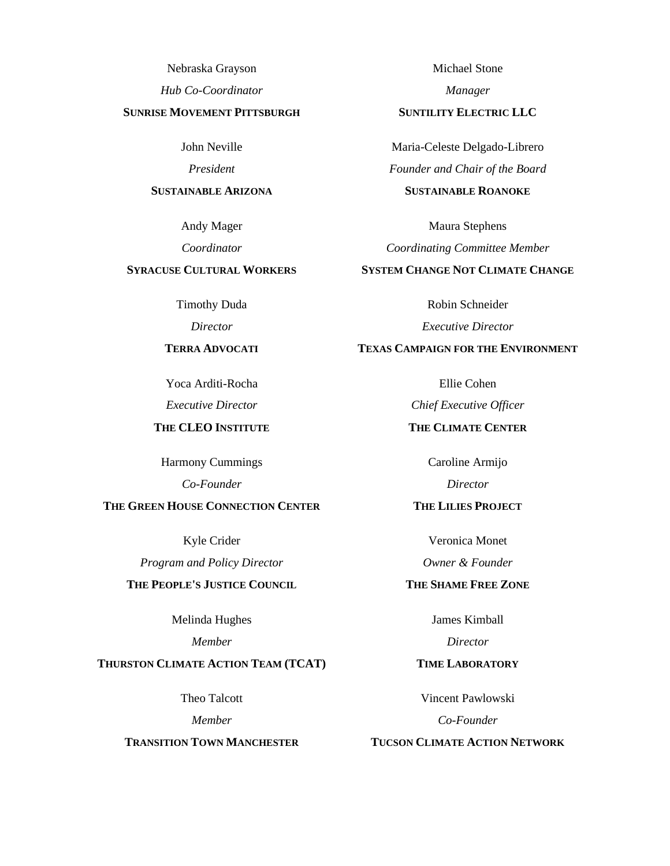Nebraska Grayson

*Hub Co-Coordinator*

## **SUNRISE MOVEMENT PITTSBURGH**

John Neville

*President*

#### **SUSTAINABLE ARIZONA**

Andy Mager

*Coordinator*

## **SYRACUSE CULTURAL WORKERS**

Timothy Duda

*Director*

## **TERRA ADVOCATI**

Yoca Arditi-Rocha

*Executive Director*

# **THE CLEO INSTITUTE**

Harmony Cummings *Co-Founder*

### **THE GREEN HOUSE CONNECTION CENTER**

Kyle Crider

*Program and Policy Director*

# **THE PEOPLE'S JUSTICE COUNCIL**

Melinda Hughes

*Member*

## **THURSTON CLIMATE ACTION TEAM (TCAT)**

Theo Talcott

*Member*

#### **TRANSITION TOWN MANCHESTER**

Michael Stone

*Manager*

#### **SUNTILITY ELECTRIC LLC**

Maria-Celeste Delgado-Librero *Founder and Chair of the Board* **SUSTAINABLE ROANOKE**

Maura Stephens

*Coordinating Committee Member*

# **SYSTEM CHANGE NOT CLIMATE CHANGE**

Robin Schneider *Executive Director*

# **TEXAS CAMPAIGN FOR THE ENVIRONMENT**

Ellie Cohen

*Chief Executive Officer*

## **THE CLIMATE CENTER**

Caroline Armijo *Director*

### **THE LILIES PROJECT**

Veronica Monet *Owner & Founder*

## **THE SHAME FREE ZONE**

James Kimball

*Director*

## **TIME LABORATORY**

Vincent Pawlowski *Co-Founder*

# **TUCSON CLIMATE ACTION NETWORK**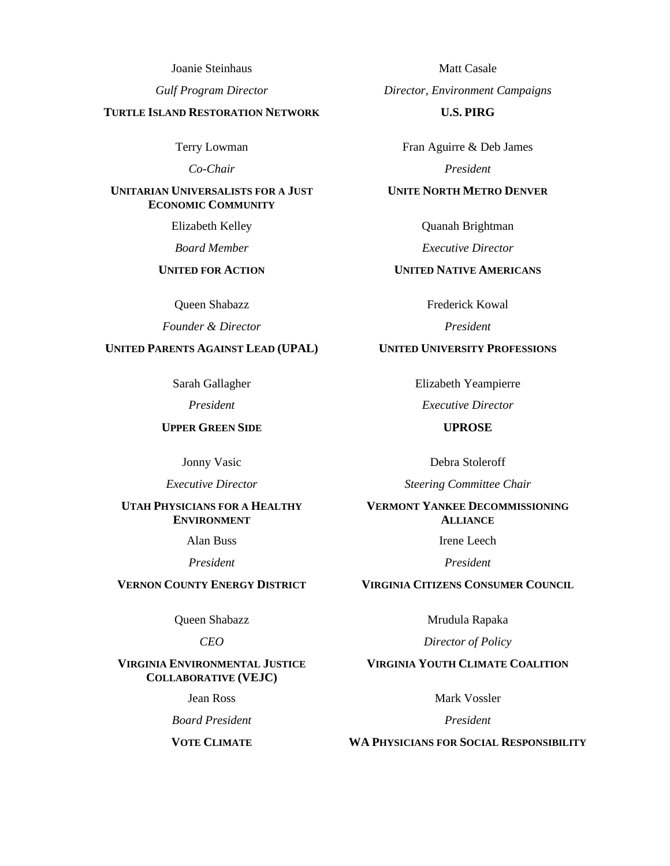Joanie Steinhaus

*Gulf Program Director*

#### **TURTLE ISLAND RESTORATION NETWORK**

Terry Lowman

*Co-Chair*

#### **UNITARIAN UNIVERSALISTS FOR A JUST ECONOMIC COMMUNITY**

Elizabeth Kelley

*Board Member*

## **UNITED FOR ACTION**

Queen Shabazz

*Founder & Director*

## **UNITED PARENTS AGAINST LEAD (UPAL)**

Sarah Gallagher

*President*

## **UPPER GREEN SIDE**

Jonny Vasic

*Executive Director*

### **UTAH PHYSICIANS FOR A HEALTHY ENVIRONMENT**

Alan Buss

*President*

## **VERNON COUNTY ENERGY DISTRICT**

Queen Shabazz

#### *CEO*

#### **VIRGINIA ENVIRONMENTAL JUSTICE COLLABORATIVE (VEJC)**

Jean Ross

*Board President*

**VOTE CLIMATE**

Matt Casale *Director, Environment Campaigns* **U.S. PIRG**

Fran Aguirre & Deb James *President*

## **UNITE NORTH METRO DENVER**

Quanah Brightman

*Executive Director*

## **UNITED NATIVE AMERICANS**

Frederick Kowal

*President*

## **UNITED UNIVERSITY PROFESSIONS**

Elizabeth Yeampierre

*Executive Director*

## **UPROSE**

Debra Stoleroff

*Steering Committee Chair*

### **VERMONT YANKEE DECOMMISSIONING ALLIANCE**

Irene Leech

*President*

**VIRGINIA CITIZENS CONSUMER COUNCIL**

Mrudula Rapaka

*Director of Policy*

## **VIRGINIA YOUTH CLIMATE COALITION**

Mark Vossler

*President*

**WA PHYSICIANS FOR SOCIAL RESPONSIBILITY**